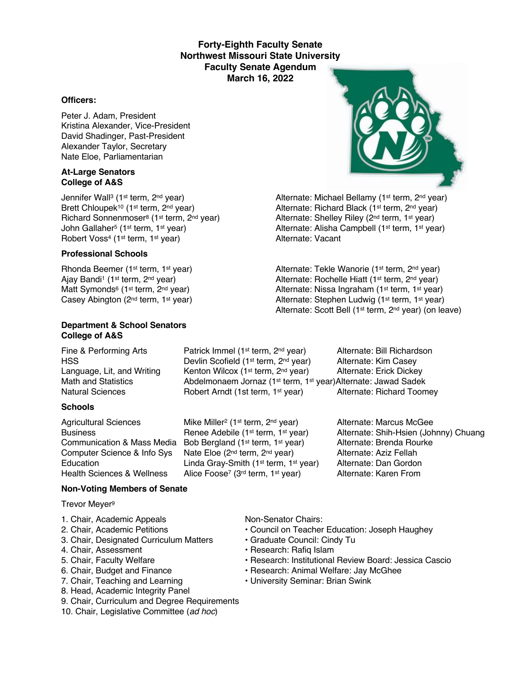### **Forty-Eighth Faculty Senate Northwest Missouri State University Faculty Senate Agendum March 16, 2022**

#### **Officers:**

Peter J. Adam, President Kristina Alexander, Vice-President David Shadinger, Past-President Alexander Taylor, Secretary Nate Eloe, Parliamentarian

#### **At-Large Senators College of A&S**

Jennifer Wall<sup>3</sup> (1<sup>st</sup> term, 2<sup>nd</sup> year) Alternate: Michael Bellamy (1<sup>st</sup> term, 2<sup>nd</sup> year) Brett Chloupek<sup>10</sup> (1<sup>st</sup> term, 2<sup>nd</sup> year) Alternate: Richard Black (1<sup>st</sup> term, 2<sup>nd</sup> year) Richard Sonnenmoser<sup>8</sup> (1<sup>st</sup> term, 2<sup>nd</sup> year) Alternate: Shelley Riley (2<sup>nd</sup> term, 1<sup>st</sup> year) John Gallaher<sup>5</sup> (1st term, 1st year) Alternate: Alisha Campbell (1st term, 1st year)<br>
Alternate: Vacant<br>
Alternate: Vacant Robert Voss<sup>4</sup> (1<sup>st</sup> term, 1<sup>st</sup> year)

#### **Professional Schools**

#### **Department & School Senators College of A&S**

#### **Schools**

Agricultural Sciences Mike Miller<sup>2</sup> (1<sup>st</sup> term, 2<sup>nd</sup> year) Alternate: Marcus McGee Communication & Mass Media Bob Bergland (1st term, 1st year) Alternate: Brenda Rourke Computer Science & Info Sys Nate Eloe (2<sup>nd</sup> term, 2<sup>nd</sup> year) Alternate: Aziz Fellah<br>Education Linda Grav-Smith (1<sup>st</sup> term, 1<sup>st</sup> year) Alternate: Dan Gordon Education Linda Gray-Smith (1<sup>st</sup> term, 1<sup>st</sup> year) Alternate: Dan Gordon<br>Health Sciences & Wellness Alice Foose<sup>7</sup> (3<sup>rd</sup> term, 1<sup>st</sup> year) Alternate: Karen From

# Alice Foose<sup>7</sup> (3<sup>rd</sup> term, 1<sup>st</sup> year)

#### **Non-Voting Members of Senate**

Trevor Meyer9

- 1. Chair, Academic Appeals Non-Senator Chairs:
- 
- 3. Chair, Designated Curriculum Matters Graduate Council: Cindy Tu
- 4. Chair, Assessment **Francisco Exercise Research: Rafiq Islam**
- 
- 
- 
- 8. Head, Academic Integrity Panel
- 9. Chair, Curriculum and Degree Requirements
- 10. Chair, Legislative Committee (*ad hoc*)

- 2. Chair, Academic Petitions Council on Teacher Education: Joseph Haughey
	-
	-
- 5. Chair, Faculty Welfare The State of Pessarch: Institutional Review Board: Jessica Cascio
- 6. Chair, Budget and Finance  **Research: Animal Welfare: Jay McGhee**
- 7. Chair, Teaching and Learning  **University Seminar: Brian Swink**

Rhonda Beemer (1<sup>st</sup> term, 1<sup>st</sup> year) Alternate: Tekle Wanorie (1<sup>st</sup> term, 2<sup>nd</sup> year) Ajay Bandi<sup>1</sup> (1<sup>st</sup> term, 2<sup>nd</sup> year) Alternate: Rochelle Hiatt (1<sup>st</sup> term, 2<sup>nd</sup> year) Matt Symonds<sup>6</sup> (1<sup>st</sup> term, 2<sup>nd</sup> year) <br>Casey Abington (2<sup>nd</sup> term, 1<sup>st</sup> year) <br>Alternate: Stephen Ludwig (1<sup>st</sup> term, 1<sup>st</sup> year) Alternate: Stephen Ludwig (1st term, 1st year) Alternate: Scott Bell (1st term, 2nd year) (on leave)

Business **Renee Adebile (1st term, 1st year)** Alternate: Shih-Hsien (Johnny) Chuang

Fine & Performing Arts **Patrick Immel (1st term, 2nd year)** Alternate: Bill Richardson HSS **EXECUTE:** Devlin Scofield (1<sup>st</sup> term, 2<sup>nd</sup> year) Alternate: Kim Casey Language, Lit, and Writing Kenton Wilcox (1<sup>st</sup> term, 2<sup>nd</sup> year) Alternate: Erick Dickey Math and Statistics **Abdelmonaem Jornaz (1st term, 1st year)Alternate: Jawad Sadek** Natural Sciences **Robert Arndt (1st term, 1st year)** Alternate: Richard Toomey